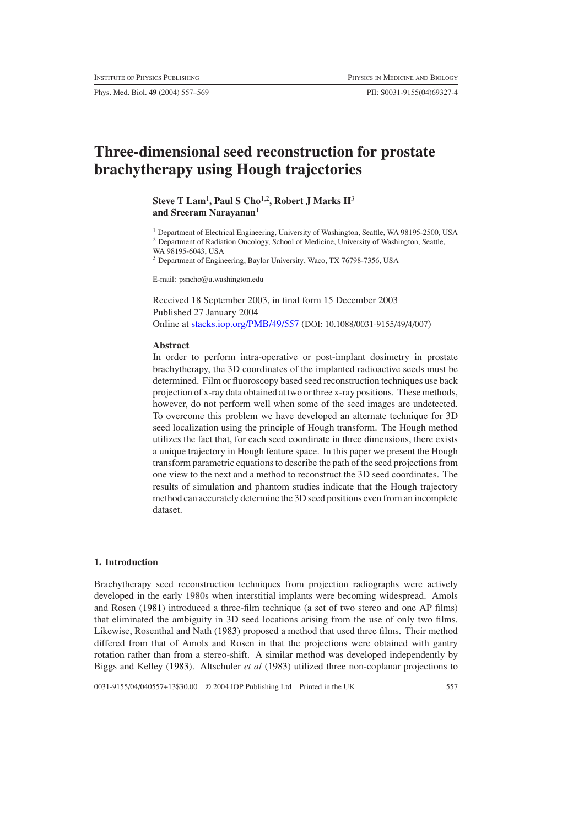Phys. Med. Biol. **49** (2004) 557–569 PII: S0031-9155(04)69327-4

# **Three-dimensional seed reconstruction for prostate brachytherapy using Hough trajectories**

# $\rm{Steve~T~Lam^1,~Paul~S~Cho^{1,2},~Robert~J~Marks~II^3}$ **and Sreeram Narayanan**<sup>1</sup>

<sup>1</sup> Department of Electrical Engineering, University of Washington, Seattle, WA 98195-2500, USA <sup>2</sup> Department of Radiation Oncology, School of Medicine, University of Washington, Seattle, WA 98195-6043, USA

<sup>3</sup> Department of Engineering, Baylor University, Waco, TX 76798-7356, USA

E-mail: psncho@u.washington.edu

Received 18 September 2003, in final form 15 December 2003 Published 27 January 2004 Online at [stacks.iop.org/PMB/49/557](http://stacks.iop.org/pb/49/557) (DOI: 10.1088/0031-9155/49/4/007)

## **Abstract**

In order to perform intra-operative or post-implant dosimetry in prostate brachytherapy, the 3D coordinates of the implanted radioactive seeds must be determined. Film or fluoroscopy based seed reconstruction techniques use back projection of x-ray data obtained at two or three x-ray positions. These methods, however, do not perform well when some of the seed images are undetected. To overcome this problem we have developed an alternate technique for 3D seed localization using the principle of Hough transform. The Hough method utilizes the fact that, for each seed coordinate in three dimensions, there exists a unique trajectory in Hough feature space. In this paper we present the Hough transform parametric equations to describe the path of the seed projections from one view to the next and a method to reconstruct the 3D seed coordinates. The results of simulation and phantom studies indicate that the Hough trajectory method can accurately determine the 3D seed positions even from an incomplete dataset.

### **1. Introduction**

Brachytherapy seed reconstruction techniques from projection radiographs were actively developed in the early 1980s when interstitial implants were becoming widespread. Amols and Rosen [\(1981](#page-12-0)) introduced a three-film technique (a set of two stereo and one AP films) that eliminated the ambiguity in 3D seed locations arising from the use of only two films. Likewise, Rosenthal and Nath [\(1983\)](#page-12-1) proposed a method that used three films. Their method differed from that of Amols and Rosen in that the projections were obtained with gantry rotation rather than from a stereo-shift. A similar method was developed independently by Biggs and Kelley [\(1983](#page-12-2)). Altschuler *et al* [\(1983](#page-11-0)) utilized three non-coplanar projections to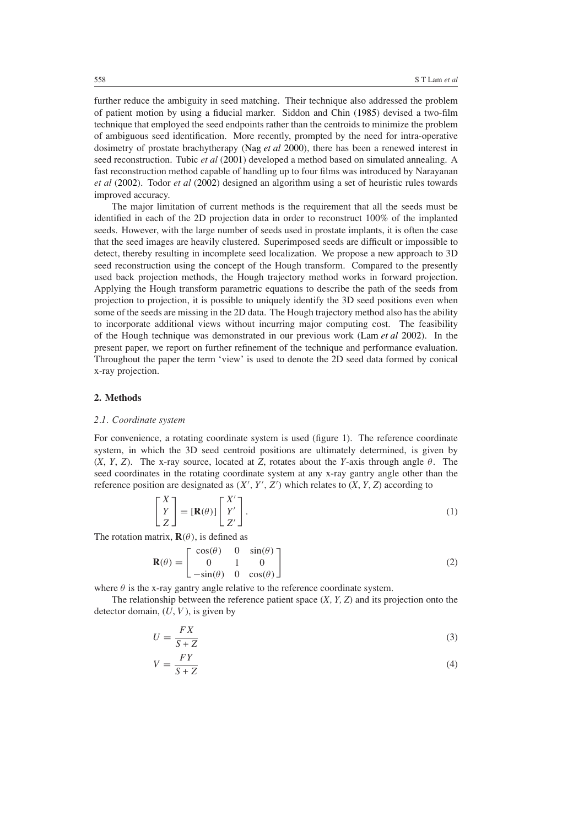further reduce the ambiguity in seed matching. Their technique also addressed the problem of patient motion by using a fiducial marker. Siddon and Chin [\(1985\)](#page-12-3) devised a two-film technique that employed the seed endpoints rather than the centroids to minimize the problem of ambiguous seed identification. More recently, prompted by the need for intra-operative dosimetry of prostate brachytherapy (Nag *[et al](#page-12-4)* [2000](#page-12-4)), there has been a renewed interest in seed reconstruction. Tubic *et al* [\(2001\)](#page-12-5) developed a method based on simulated annealing. A fast reconstruction method capable of handling up to four films was introduced by Narayanan *et al* [\(2002\)](#page-12-6). Todor *et al* [\(2002\)](#page-12-7) designed an algorithm using a set of heuristic rules towards improved accuracy.

The major limitation of current methods is the requirement that all the seeds must be identified in each of the 2D projection data in order to reconstruct 100% of the implanted seeds. However, with the large number of seeds used in prostate implants, it is often the case that the seed images are heavily clustered. Superimposed seeds are difficult or impossible to detect, thereby resulting in incomplete seed localization. We propose a new approach to 3D seed reconstruction using the concept of the Hough transform. Compared to the presently used back projection methods, the Hough trajectory method works in forward projection. Applying the Hough transform parametric equations to describe the path of the seeds from projection to projection, it is possible to uniquely identify the 3D seed positions even when some of the seeds are missing in the 2D data. The Hough trajectory method also has the ability to incorporate additional views without incurring major computing cost. The feasibility of the Hough technique was demonstrated in our previous work [\(Lam](#page-12-8) *et al* [2002](#page-12-8)). In the present paper, we report on further refinement of the technique and performance evaluation. Throughout the paper the term 'view' is used to denote the 2D seed data formed by conical x-ray projection.

### **2. Methods**

#### *2.1. Coordinate system*

For convenience, a rotating coordinate system is used (figure [1\)](#page-2-0). The reference coordinate system, in which the 3D seed centroid positions are ultimately determined, is given by (*X*, *Y*, *Z*). The x-ray source, located at *Z*, rotates about the *Y*-axis through angle *θ*. The seed coordinates in the rotating coordinate system at any x-ray gantry angle other than the reference position are designated as  $(X', Y', Z')$  which relates to  $(X, Y, Z)$  according to

$$
\begin{bmatrix} X \\ Y \\ Z \end{bmatrix} = [\mathbf{R}(\theta)] \begin{bmatrix} X' \\ Y' \\ Z' \end{bmatrix} .
$$
 (1)

<span id="page-1-0"></span>The rotation matrix,  $\mathbf{R}(\theta)$ , is defined as

$$
\mathbf{R}(\theta) = \begin{bmatrix} \cos(\theta) & 0 & \sin(\theta) \\ 0 & 1 & 0 \\ -\sin(\theta) & 0 & \cos(\theta) \end{bmatrix}
$$
 (2)

where  $\theta$  is the x-ray gantry angle relative to the reference coordinate system.

<span id="page-1-1"></span>The relationship between the reference patient space (*X, Y, Z*) and its projection onto the detector domain,  $(U, V)$ , is given by

$$
U = \frac{FX}{S + Z} \tag{3}
$$

$$
V = \frac{FY}{S + Z} \tag{4}
$$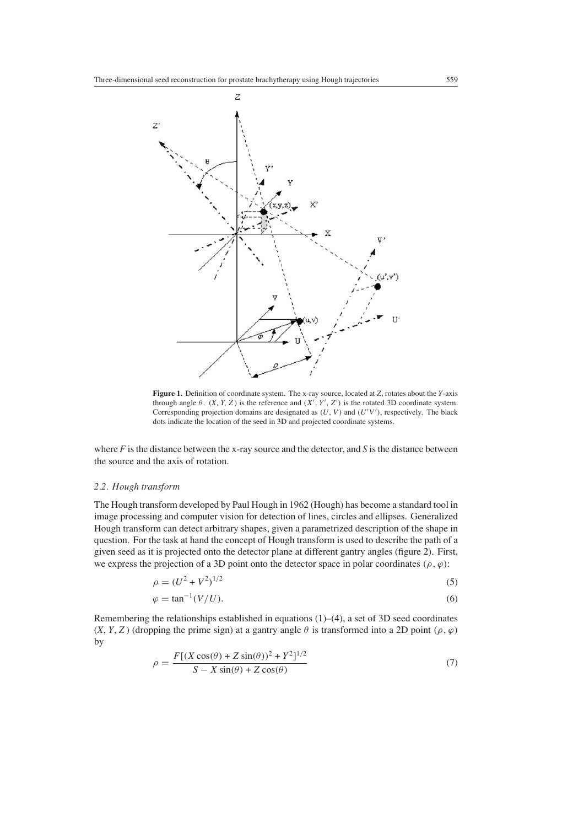

<span id="page-2-0"></span>**Figure 1.** Definition of coordinate system. The x-ray source, located at *Z*, rotates about the *Y*-axis through angle  $\theta$ . (*X, Y, Z*) is the reference and  $(X', Y', Z')$  is the rotated 3D coordinate system. Corresponding projection domains are designated as  $(U, V)$  and  $(U'V')$ , respectively. The black dots indicate the location of the seed in 3D and projected coordinate systems.

where *F* is the distance between the x-ray source and the detector, and *S* is the distance between the source and the axis of rotation.

#### *2.2. Hough transform*

The Hough transform developed by Paul Hough in 1962 (Hough) has become a standard tool in image processing and computer vision for detection of lines, circles and ellipses. Generalized Hough transform can detect arbitrary shapes, given a parametrized description of the shape in question. For the task at hand the concept of Hough transform is used to describe the path of a given seed as it is projected onto the detector plane at different gantry angles (figure [2\)](#page-3-0). First, we express the projection of a 3D point onto the detector space in polar coordinates  $(\rho, \varphi)$ :

$$
\rho = (U^2 + V^2)^{1/2} \tag{5}
$$

$$
\varphi = \tan^{-1}(V/U). \tag{6}
$$

<span id="page-2-1"></span>Remembering the relationships established in equations  $(1)$ – $(4)$ , a set of 3D seed coordinates  $(X, Y, Z)$  (dropping the prime sign) at a gantry angle  $\theta$  is transformed into a 2D point  $(\rho, \varphi)$ by

$$
\rho = \frac{F[(X\cos(\theta) + Z\sin(\theta))^2 + Y^2]^{1/2}}{S - X\sin(\theta) + Z\cos(\theta)}
$$
(7)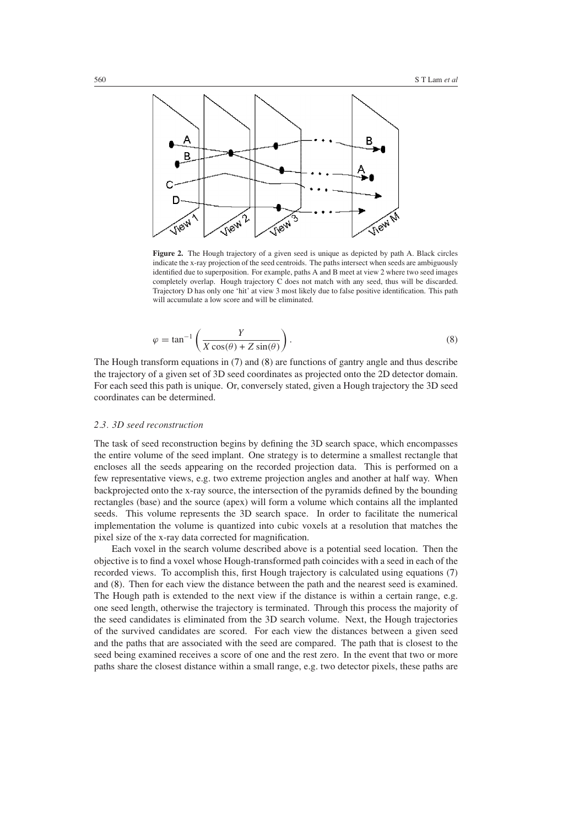

<span id="page-3-0"></span>Figure 2. The Hough trajectory of a given seed is unique as depicted by path A. Black circles indicate the x-ray projection of the seed centroids. The paths intersect when seeds are ambiguously identified due to superposition. For example, paths A and B meet at view 2 where two seed images completely overlap. Hough trajectory C does not match with any seed, thus will be discarded. Trajectory D has only one 'hit' at view 3 most likely due to false positive identification. This path will accumulate a low score and will be eliminated.

$$
\varphi = \tan^{-1}\left(\frac{Y}{X\cos(\theta) + Z\sin(\theta)}\right).
$$
\n(8)

<span id="page-3-1"></span>The Hough transform equations in [\(7\)](#page-2-1) and [\(8\)](#page-3-1) are functions of gantry angle and thus describe the trajectory of a given set of 3D seed coordinates as projected onto the 2D detector domain. For each seed this path is unique. Or, conversely stated, given a Hough trajectory the 3D seed coordinates can be determined.

# <span id="page-3-2"></span>*2.3. 3D seed reconstruction*

The task of seed reconstruction begins by defining the 3D search space, which encompasses the entire volume of the seed implant. One strategy is to determine a smallest rectangle that encloses all the seeds appearing on the recorded projection data. This is performed on a few representative views, e.g. two extreme projection angles and another at half way. When backprojected onto the x-ray source, the intersection of the pyramids defined by the bounding rectangles (base) and the source (apex) will form a volume which contains all the implanted seeds. This volume represents the 3D search space. In order to facilitate the numerical implementation the volume is quantized into cubic voxels at a resolution that matches the pixel size of the x-ray data corrected for magnification.

Each voxel in the search volume described above is a potential seed location. Then the objective is to find a voxel whose Hough-transformed path coincides with a seed in each of the recorded views. To accomplish this, first Hough trajectory is calculated using equations [\(7\)](#page-2-1) and [\(8\)](#page-3-1). Then for each view the distance between the path and the nearest seed is examined. The Hough path is extended to the next view if the distance is within a certain range, e.g. one seed length, otherwise the trajectory is terminated. Through this process the majority of the seed candidates is eliminated from the 3D search volume. Next, the Hough trajectories of the survived candidates are scored. For each view the distances between a given seed and the paths that are associated with the seed are compared. The path that is closest to the seed being examined receives a score of one and the rest zero. In the event that two or more paths share the closest distance within a small range, e.g. two detector pixels, these paths are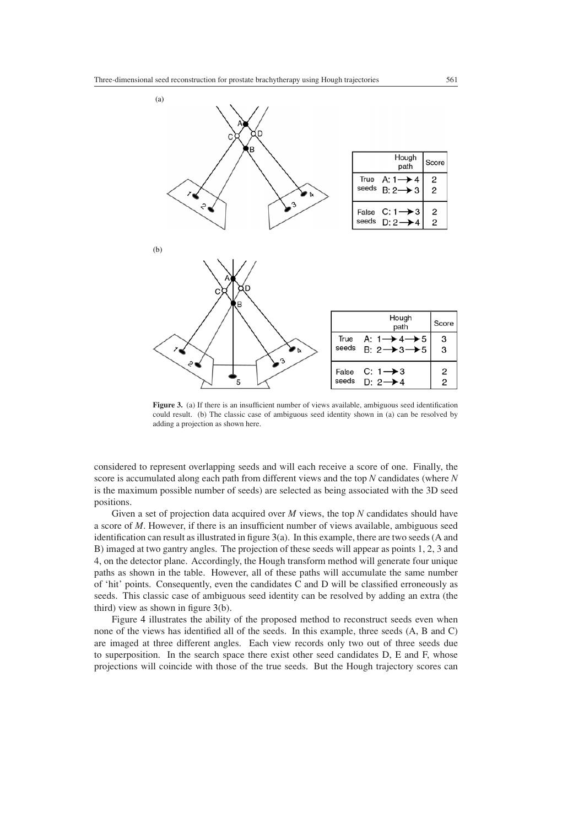

<span id="page-4-0"></span>**Figure 3.** (a) If there is an insufficient number of views available, ambiguous seed identification could result. (b) The classic case of ambiguous seed identity shown in (a) can be resolved by adding a projection as shown here.

considered to represent overlapping seeds and will each receive a score of one. Finally, the score is accumulated along each path from different views and the top *N* candidates (where *N* is the maximum possible number of seeds) are selected as being associated with the 3D seed positions.

Given a set of projection data acquired over *M* views, the top *N* candidates should have a score of *M*. However, if there is an insufficient number of views available, ambiguous seed identification can result as illustrated in figure [3\(](#page-4-0)a). In this example, there are two seeds (A and B) imaged at two gantry angles. The projection of these seeds will appear as points 1, 2, 3 and 4, on the detector plane. Accordingly, the Hough transform method will generate four unique paths as shown in the table. However, all of these paths will accumulate the same number of 'hit' points. Consequently, even the candidates C and D will be classified erroneously as seeds. This classic case of ambiguous seed identity can be resolved by adding an extra (the third) view as shown in figure [3\(](#page-4-0)b).

Figure [4](#page-5-0) illustrates the ability of the proposed method to reconstruct seeds even when none of the views has identified all of the seeds. In this example, three seeds (A, B and C) are imaged at three different angles. Each view records only two out of three seeds due to superposition. In the search space there exist other seed candidates D, E and F, whose projections will coincide with those of the true seeds. But the Hough trajectory scores can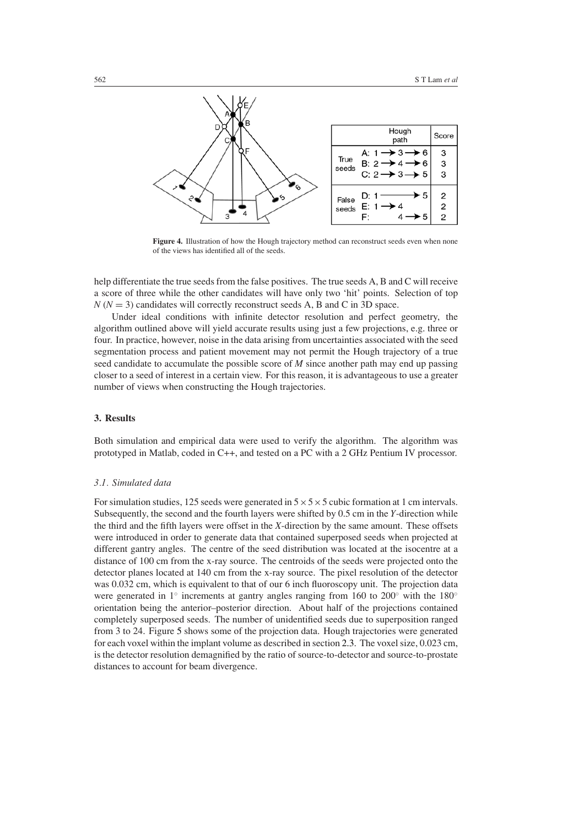

<span id="page-5-0"></span>**Figure 4.** Illustration of how the Hough trajectory method can reconstruct seeds even when none of the views has identified all of the seeds.

help differentiate the true seeds from the false positives. The true seeds A, B and C will receive a score of three while the other candidates will have only two 'hit' points. Selection of top  $N(N = 3)$  candidates will correctly reconstruct seeds A, B and C in 3D space.

Under ideal conditions with infinite detector resolution and perfect geometry, the algorithm outlined above will yield accurate results using just a few projections, e.g. three or four. In practice, however, noise in the data arising from uncertainties associated with the seed segmentation process and patient movement may not permit the Hough trajectory of a true seed candidate to accumulate the possible score of *M* since another path may end up passing closer to a seed of interest in a certain view. For this reason, it is advantageous to use a greater number of views when constructing the Hough trajectories.

## **3. Results**

Both simulation and empirical data were used to verify the algorithm. The algorithm was prototyped in Matlab, coded in C++, and tested on a PC with a 2 GHz Pentium IV processor.

#### *3.1. Simulated data*

For simulation studies, 125 seeds were generated in  $5 \times 5 \times 5$  cubic formation at 1 cm intervals. Subsequently, the second and the fourth layers were shifted by 0.5 cm in the *Y*-direction while the third and the fifth layers were offset in the *X*-direction by the same amount. These offsets were introduced in order to generate data that contained superposed seeds when projected at different gantry angles. The centre of the seed distribution was located at the isocentre at a distance of 100 cm from the x-ray source. The centroids of the seeds were projected onto the detector planes located at 140 cm from the x-ray source. The pixel resolution of the detector was 0.032 cm, which is equivalent to that of our 6 inch fluoroscopy unit. The projection data were generated in 1<sup>°</sup> increments at gantry angles ranging from 160 to 200<sup>°</sup> with the 180<sup>°</sup> orientation being the anterior–posterior direction. About half of the projections contained completely superposed seeds. The number of unidentified seeds due to superposition ranged from 3 to 24. Figure [5](#page-6-0) shows some of the projection data. Hough trajectories were generated for each voxel within the implant volume as described in section [2.3.](#page-3-2) The voxel size, 0.023 cm, is the detector resolution demagnified by the ratio of source-to-detector and source-to-prostate distances to account for beam divergence.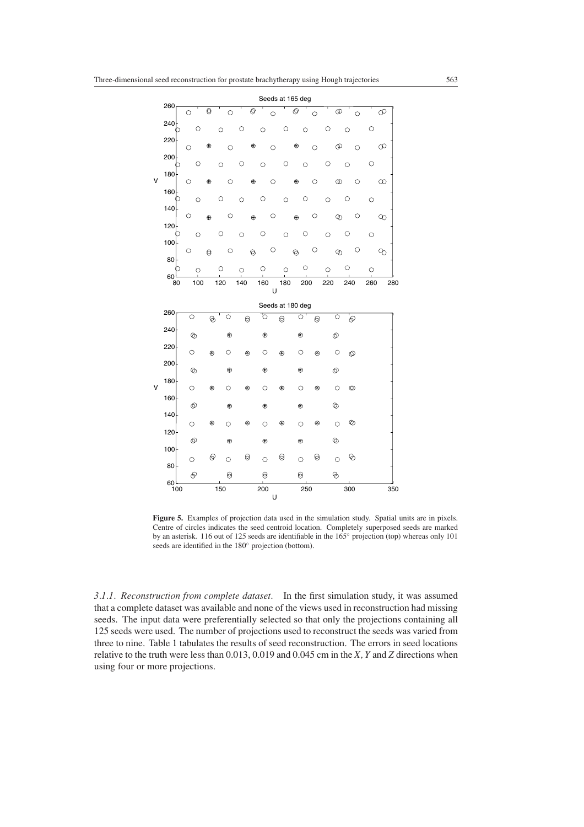|   |                  |    |                |                |          |         |                |         |                |          |         | Seeds at 165 deg |                |           |          |         |                |                |         |         |           |
|---|------------------|----|----------------|----------------|----------|---------|----------------|---------|----------------|----------|---------|------------------|----------------|-----------|----------|---------|----------------|----------------|---------|---------|-----------|
|   | 260              |    | $\circ$        |                | 0        |         | $\circ$        |         | ◎              |          | $\circ$ |                  | ⊚              |           | $\circ$  |         | $^\circledR$   |                | $\circ$ |         | ∞         |
|   | 240              |    |                | $\circ$        |          | $\circ$ |                | Ο       |                | $\circ$  |         | О                |                | $\circ$   |          | O       |                | $\circ$        |         | O       |           |
|   | 220              |    |                |                | ⊛        |         |                |         | ⊕              |          |         |                  | ⊛              |           |          |         | $\circledcirc$ |                |         |         | $\infty$  |
|   | 200              |    | $\bigcirc$     |                |          |         | Ω              |         |                |          | $\circ$ |                  |                |           | $\circ$  |         |                |                | $\circ$ |         |           |
|   |                  |    |                | $\circ$        |          | $\circ$ |                | O       |                | $\circ$  |         | О                |                | $\circ$   |          | O       |                | $\circ$        |         | O       |           |
| v | 180              |    | O              |                | ⊕        |         | $\circ$        |         | ⊕              |          | $\circ$ |                  | ⊛              |           | $\circ$  |         | ∞              |                | $\circ$ |         | $^\infty$ |
|   | 160              |    |                | $\circ$        |          | O       |                | $\circ$ |                | O        |         | $\circ$          |                | О         |          | $\circ$ |                | O              |         | $\circ$ |           |
|   | 140              |    |                |                |          |         |                |         |                |          |         |                  |                |           |          |         |                |                |         |         |           |
|   | 120              |    | O              |                | ⊕        |         | O              |         | $^{\circ}$     |          | $\circ$ |                  | $^{\circ}$     |           | $\circ$  |         | $^{\circ}$     |                | $\circ$ |         | $\infty$  |
|   |                  |    |                | $\circ$        |          | О       |                | $\circ$ |                | $\circ$  |         | $\circ$          |                | $\circ$   |          | $\circ$ |                | O              |         | $\circ$ |           |
|   | 100              |    | O              |                | $\Theta$ |         | $\circ$        |         | $\circledcirc$ |          | $\circ$ |                  | $\circledcirc$ |           | $\circ$  |         | $^{\circ}$     |                | $\circ$ |         | $\infty$  |
|   | 80               |    |                |                |          | О       |                | $\circ$ |                | O        |         | $\circ$          |                | $\circ$   |          | $\circ$ |                | O              |         | $\circ$ |           |
|   | 60               | 80 |                | $\circ$<br>100 |          | 120     |                | 140     |                | 160      |         | 180              |                | 200       |          | 220     |                | 240            |         | 260     | 280       |
|   |                  |    |                |                |          |         |                |         |                |          | U       |                  |                |           |          |         |                |                |         |         |           |
|   |                  |    |                |                |          |         |                |         |                |          |         |                  |                |           |          |         |                |                |         |         |           |
|   |                  |    |                |                |          |         |                |         |                |          |         | Seeds at 180 deg |                |           |          |         |                |                |         |         |           |
|   | 260              |    | $\circ$        |                | 0        |         | $\circ$        |         | $\Theta$       | O        |         | $\Theta$         |                | $\circ$ ' | $\Theta$ |         | $\circ$        | 'O             |         |         |           |
|   | 240              |    |                |                |          |         | $^{\circledR}$ |         |                | ⊕        |         |                  | ⊕              |           |          |         |                |                |         |         |           |
|   | 220              |    | ◎              |                |          |         |                |         |                |          |         |                  |                |           |          |         | ⊙              |                |         |         |           |
|   |                  |    | $\circ$        |                | ⊕        |         | О              |         | ⊕              | O        |         | $\circledast$    |                | O         | ⊕        |         | $\circ$        | $\circledcirc$ |         |         |           |
|   | 200              |    | $\circledcirc$ |                |          |         | ⊕              |         |                | ⊕        |         |                  | ⊕              |           |          |         | $\circledcirc$ |                |         |         |           |
| v | 180              |    | $\circ$        |                | ⊛        |         | O              |         | ⊛              | O        |         | ⊕                |                | O         | ⊕        |         | $\circ$        | $^\circledR$   |         |         |           |
|   | 160              |    |                |                |          |         |                |         |                |          |         |                  |                |           |          |         |                |                |         |         |           |
|   | 140              |    | $\circledcirc$ |                |          |         | ⊛              |         |                | ⊕        |         |                  | ⊛              |           |          |         | ◎              |                |         |         |           |
|   |                  |    | $\circ$        |                | ⊛        |         | Ō              |         | ⊛              | $\circ$  |         | ⊕                |                | Ο         | ⊛        |         | $\circ$        | ◎              |         |         |           |
|   | 120              |    | $\circledcirc$ |                |          |         | ⊛              |         |                | ⊕        |         |                  | ⊛              |           |          |         | ◎              |                |         |         |           |
|   | 100 <sub>1</sub> |    |                |                | ଚ        |         |                | 0       |                |          |         |                  |                |           |          |         |                | ⊗              |         |         |           |
|   | 80               |    | $\circ$        |                |          |         | $\circ$        |         |                | $\circ$  |         | 0                |                | $\circ$   | ⊜        |         | $\circ$        |                |         |         |           |
|   | $^{60}_{100}$    |    | $\Theta$       |                |          | 150     | 0              |         |                | 8<br>200 |         |                  | 0              | 250       |          |         | ℅              | 300            |         |         | 350       |

<span id="page-6-0"></span>**Figure 5.** Examples of projection data used in the simulation study. Spatial units are in pixels. Centre of circles indicates the seed centroid location. Completely superposed seeds are marked by an asterisk. 116 out of 125 seeds are identifiable in the 165◦ projection (top) whereas only 101 seeds are identified in the 180◦ projection (bottom).

*3.1.1. Reconstruction from complete dataset.* In the first simulation study, it was assumed that a complete dataset was available and none of the views used in reconstruction had missing seeds. The input data were preferentially selected so that only the projections containing all 125 seeds were used. The number of projections used to reconstruct the seeds was varied from three to nine. Table [1](#page-7-0) tabulates the results of seed reconstruction. The errors in seed locations relative to the truth were less than 0.013, 0.019 and 0.045 cm in the *X, Y* and *Z* directions when using four or more projections.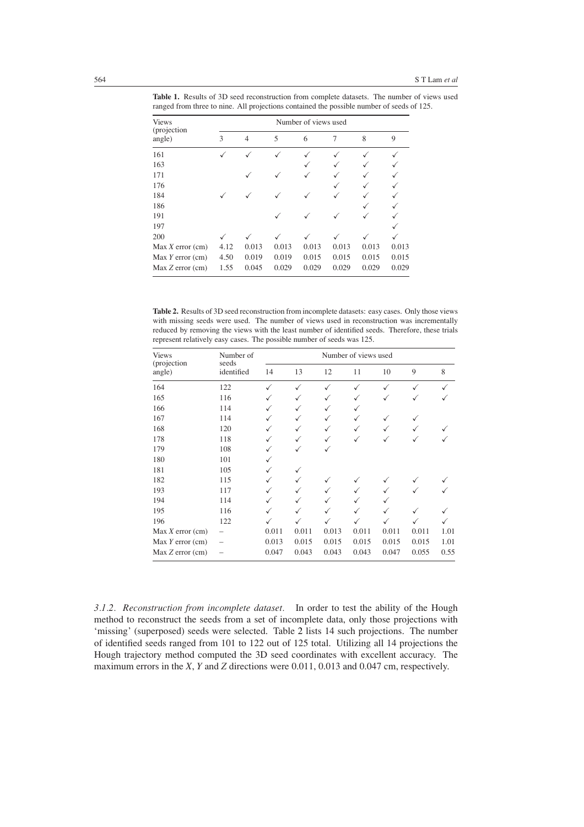<span id="page-7-0"></span>

|  |  |  | <b>Table 1.</b> Results of 3D seed reconstruction from complete datasets. The number of views used |  |
|--|--|--|----------------------------------------------------------------------------------------------------|--|
|  |  |  | ranged from three to nine. All projections contained the possible number of seeds of 125.          |  |

| <b>Views</b>          | Number of views used |                |       |       |              |       |       |  |  |
|-----------------------|----------------------|----------------|-------|-------|--------------|-------|-------|--|--|
| (projection<br>angle) | 3                    | $\overline{4}$ | 5     | 6     | 7            | 8     | 9     |  |  |
| 161                   | ✓                    |                | ✓     | ✓     | $\checkmark$ | ✓     | ✓     |  |  |
| 163                   |                      |                |       | ✓     | $\checkmark$ |       | ✓     |  |  |
| 171                   |                      |                | ✓     | ✓     | ✓            |       |       |  |  |
| 176                   |                      |                |       |       |              |       | ✓     |  |  |
| 184                   | ✓                    |                |       |       |              |       |       |  |  |
| 186                   |                      |                |       |       |              |       |       |  |  |
| 191                   |                      |                |       |       |              |       |       |  |  |
| 197                   |                      |                |       |       |              |       | ✓     |  |  |
| 200                   |                      |                |       |       |              |       |       |  |  |
| Max X error (cm)      | 4.12                 | 0.013          | 0.013 | 0.013 | 0.013        | 0.013 | 0.013 |  |  |
| Max Y error (cm)      | 4.50                 | 0.019          | 0.019 | 0.015 | 0.015        | 0.015 | 0.015 |  |  |
| Max Z error (cm)      | 1.55                 | 0.045          | 0.029 | 0.029 | 0.029        | 0.029 | 0.029 |  |  |

<span id="page-7-1"></span>**Table 2.** Results of 3D seed reconstruction from incomplete datasets: easy cases. Only those views with missing seeds were used. The number of views used in reconstruction was incrementally reduced by removing the views with the least number of identified seeds. Therefore, these trials represent relatively easy cases. The possible number of seeds was 125.

| <b>Views</b>          | Number of           | Number of views used |              |       |              |       |              |      |  |  |  |
|-----------------------|---------------------|----------------------|--------------|-------|--------------|-------|--------------|------|--|--|--|
| (projection<br>angle) | seeds<br>identified | 14                   | 13           | 12    | 11           | 10    | 9            | 8    |  |  |  |
| 164                   | 122                 | $\checkmark$         | ✓            | ✓     | $\checkmark$ | ✓     | $\checkmark$ |      |  |  |  |
| 165                   | 116                 | $\checkmark$         | $\checkmark$ |       | $\checkmark$ | ✓     |              |      |  |  |  |
| 166                   | 114                 | $\checkmark$         | ✓            |       | $\checkmark$ |       |              |      |  |  |  |
| 167                   | 114                 | ✓                    | ✓            |       | $\checkmark$ | ✓     | ✓            |      |  |  |  |
| 168                   | 120                 | $\checkmark$         | ✓            |       | ✓            |       |              |      |  |  |  |
| 178                   | 118                 | $\checkmark$         | ✓            | ✓     | $\checkmark$ |       |              |      |  |  |  |
| 179                   | 108                 | $\checkmark$         | $\checkmark$ |       |              |       |              |      |  |  |  |
| 180                   | 101                 | $\checkmark$         |              |       |              |       |              |      |  |  |  |
| 181                   | 105                 | $\checkmark$         | ✓            |       |              |       |              |      |  |  |  |
| 182                   | 115                 | ✓                    | ✓            |       | ✓            |       |              |      |  |  |  |
| 193                   | 117                 | ✓                    | ✓            |       | ✓            |       |              |      |  |  |  |
| 194                   | 114                 | $\checkmark$         | ✓            |       | ✓            |       |              |      |  |  |  |
| 195                   | 116                 | ✓                    | ✓            | ✓     | ✓            | ✓     | ✓            |      |  |  |  |
| 196                   | 122                 | ✓                    |              | ✓     | ✓            |       |              | ✓    |  |  |  |
| Max X error (cm)      |                     | 0.011                | 0.011        | 0.013 | 0.011        | 0.011 | 0.011        | 1.01 |  |  |  |
| Max $Y$ error $(cm)$  |                     | 0.013                | 0.015        | 0.015 | 0.015        | 0.015 | 0.015        | 1.01 |  |  |  |
| Max Z error (cm)      |                     | 0.047                | 0.043        | 0.043 | 0.043        | 0.047 | 0.055        | 0.55 |  |  |  |

*3.1.2. Reconstruction from incomplete dataset.* In order to test the ability of the Hough method to reconstruct the seeds from a set of incomplete data, only those projections with 'missing' (superposed) seeds were selected. Table [2](#page-7-1) lists 14 such projections. The number of identified seeds ranged from 101 to 122 out of 125 total. Utilizing all 14 projections the Hough trajectory method computed the 3D seed coordinates with excellent accuracy. The maximum errors in the *X*, *Y* and *Z* directions were 0.011, 0.013 and 0.047 cm, respectively.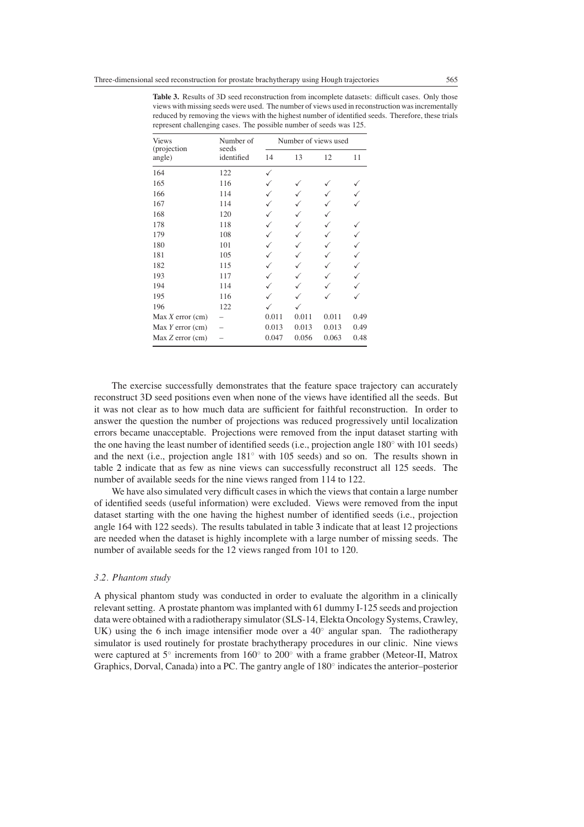| <b>Views</b><br>(projection | Number of<br>seeds | Number of views used |       |       |      |  |  |
|-----------------------------|--------------------|----------------------|-------|-------|------|--|--|
| angle)                      | identified         | 14                   | 13    | 12    | 11   |  |  |
| 164                         | 122                |                      |       |       |      |  |  |
| 165                         | 116                |                      |       |       |      |  |  |
| 166                         | 114                |                      |       |       |      |  |  |
| 167                         | 114                |                      |       |       |      |  |  |
| 168                         | 120                |                      |       |       |      |  |  |
| 178                         | 118                |                      |       |       |      |  |  |
| 179                         | 108                |                      |       |       |      |  |  |
| 180                         | 101                |                      |       |       |      |  |  |
| 181                         | 105                |                      |       |       |      |  |  |
| 182                         | 115                |                      |       |       |      |  |  |
| 193                         | 117                |                      |       |       |      |  |  |
| 194                         | 114                |                      |       |       |      |  |  |
| 195                         | 116                |                      |       |       |      |  |  |
| 196                         | 122                |                      |       |       |      |  |  |
| Max X error (cm)            |                    | 0.011                | 0.011 | 0.011 | 0.49 |  |  |
| Max $Y$ error $(cm)$        |                    | 0.013                | 0.013 | 0.013 | 0.49 |  |  |
| Max Z error (cm)            |                    | 0.047                | 0.056 | 0.063 | 0.48 |  |  |

<span id="page-8-0"></span>**Table 3.** Results of 3D seed reconstruction from incomplete datasets: difficult cases. Only those views with missing seeds were used. The number of views used in reconstruction was incrementally reduced by removing the views with the highest number of identified seeds. Therefore, these trials represent challenging cases. The possible number of seeds was 125.

The exercise successfully demonstrates that the feature space trajectory can accurately reconstruct 3D seed positions even when none of the views have identified all the seeds. But it was not clear as to how much data are sufficient for faithful reconstruction. In order to answer the question the number of projections was reduced progressively until localization errors became unacceptable. Projections were removed from the input dataset starting with the one having the least number of identified seeds (i.e., projection angle 180° with 101 seeds) and the next (i.e., projection angle 181◦ with 105 seeds) and so on. The results shown in table [2](#page-7-1) indicate that as few as nine views can successfully reconstruct all 125 seeds. The number of available seeds for the nine views ranged from 114 to 122.

We have also simulated very difficult cases in which the views that contain a large number of identified seeds (useful information) were excluded. Views were removed from the input dataset starting with the one having the highest number of identified seeds (i.e., projection angle 164 with 122 seeds). The results tabulated in table [3](#page-8-0) indicate that at least 12 projections are needed when the dataset is highly incomplete with a large number of missing seeds. The number of available seeds for the 12 views ranged from 101 to 120.

#### *3.2. Phantom study*

A physical phantom study was conducted in order to evaluate the algorithm in a clinically relevant setting. A prostate phantom was implanted with 61 dummy I-125 seeds and projection data were obtained with a radiotherapy simulator (SLS-14, Elekta Oncology Systems, Crawley, UK) using the 6 inch image intensifier mode over a  $40^\circ$  angular span. The radiotherapy simulator is used routinely for prostate brachytherapy procedures in our clinic. Nine views were captured at 5◦ increments from 160◦ to 200◦ with a frame grabber (Meteor-II, Matrox Graphics, Dorval, Canada) into a PC. The gantry angle of 180◦ indicates the anterior–posterior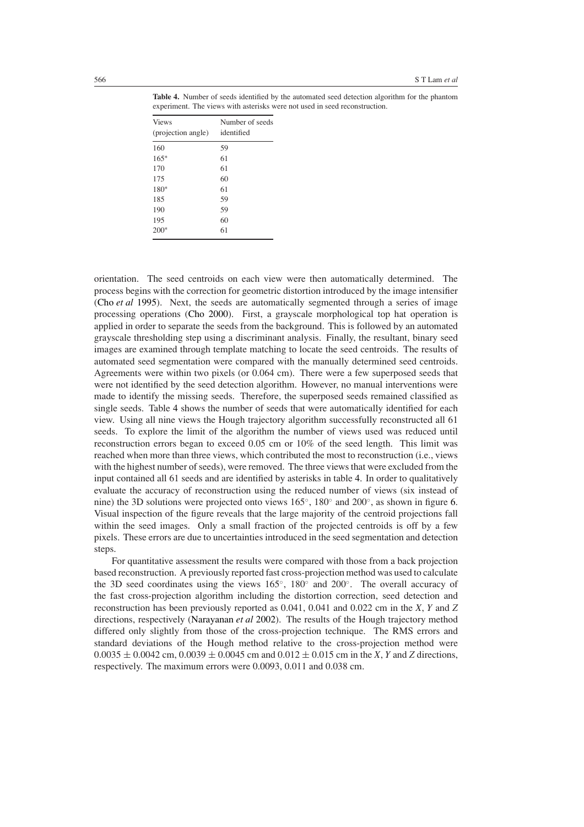**Table 4.** Number of seeds identified by the automated seed detection algorithm for the phantom experiment. The views with asterisks were not used in seed reconstruction.

<span id="page-9-0"></span>

| <b>Views</b><br>(projection angle) | Number of seeds<br>identified |
|------------------------------------|-------------------------------|
| 160                                | 59                            |
| $165*$                             | 61                            |
| 170                                | 61                            |
| 175                                | 60                            |
| 180*                               | 61                            |
| 185                                | 59                            |
| 190                                | 59                            |
| 195                                | 60                            |
| $200*$                             | 61                            |
|                                    |                               |

orientation. The seed centroids on each view were then automatically determined. The process begins with the correction for geometric distortion introduced by the image intensifier [\(Cho](#page-12-9) *et al* [1995\)](#page-12-9). Next, the seeds are automatically segmented through a series of image processing operations [\(Cho 2000](#page-12-10)). First, a grayscale morphological top hat operation is applied in order to separate the seeds from the background. This is followed by an automated grayscale thresholding step using a discriminant analysis. Finally, the resultant, binary seed images are examined through template matching to locate the seed centroids. The results of automated seed segmentation were compared with the manually determined seed centroids. Agreements were within two pixels (or 0.064 cm). There were a few superposed seeds that were not identified by the seed detection algorithm. However, no manual interventions were made to identify the missing seeds. Therefore, the superposed seeds remained classified as single seeds. Table [4](#page-9-0) shows the number of seeds that were automatically identified for each view. Using all nine views the Hough trajectory algorithm successfully reconstructed all 61 seeds. To explore the limit of the algorithm the number of views used was reduced until reconstruction errors began to exceed 0.05 cm or 10% of the seed length. This limit was reached when more than three views, which contributed the most to reconstruction (i.e., views with the highest number of seeds), were removed. The three views that were excluded from the input contained all 61 seeds and are identified by asterisks in table [4.](#page-9-0) In order to qualitatively evaluate the accuracy of reconstruction using the reduced number of views (six instead of nine) the 3D solutions were projected onto views 165◦, 180◦ and 200◦, as shown in figure [6.](#page-10-0) Visual inspection of the figure reveals that the large majority of the centroid projections fall within the seed images. Only a small fraction of the projected centroids is off by a few pixels. These errors are due to uncertainties introduced in the seed segmentation and detection steps.

For quantitative assessment the results were compared with those from a back projection based reconstruction. A previously reported fast cross-projection method was used to calculate the 3D seed coordinates using the views 165◦, 180◦ and 200◦. The overall accuracy of the fast cross-projection algorithm including the distortion correction, seed detection and reconstruction has been previously reported as 0.041, 0.041 and 0.022 cm in the *X*, *Y* and *Z* directions, respectively [\(Narayanan](#page-12-6) *et al* [2002\)](#page-12-6). The results of the Hough trajectory method differed only slightly from those of the cross-projection technique. The RMS errors and standard deviations of the Hough method relative to the cross-projection method were  $0.0035 \pm 0.0042$  cm,  $0.0039 \pm 0.0045$  cm and  $0.012 \pm 0.015$  cm in the *X*, *Y* and *Z* directions, respectively. The maximum errors were 0.0093, 0.011 and 0.038 cm.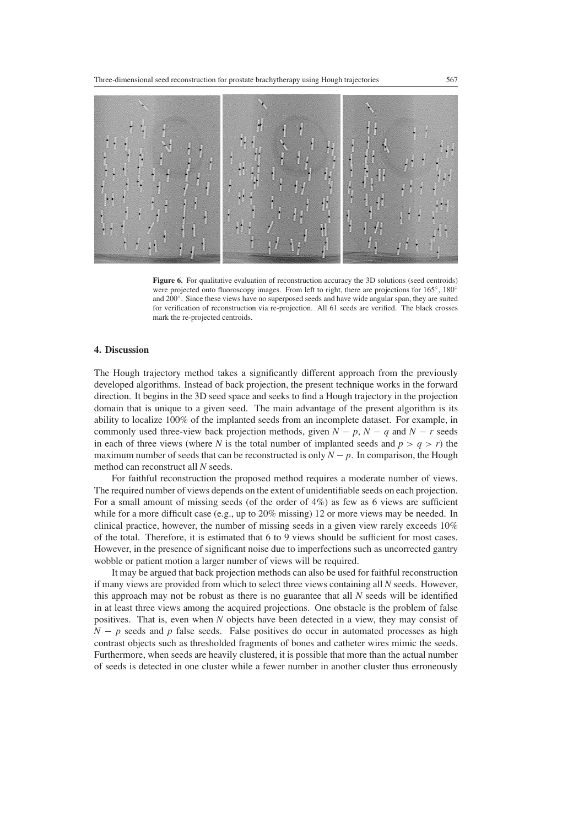

<span id="page-10-0"></span>**Figure 6.** For qualitative evaluation of reconstruction accuracy the 3D solutions (seed centroids) were projected onto fluoroscopy images. From left to right, there are projections for  $165°$ ,  $180°$ and 200◦. Since these views have no superposed seeds and have wide angular span, they are suited for verification of reconstruction via re-projection. All 61 seeds are verified. The black crosses mark the re-projected centroids.

# **4. Discussion**

The Hough trajectory method takes a significantly different approach from the previously developed algorithms. Instead of back projection, the present technique works in the forward direction. It begins in the 3D seed space and seeks to find a Hough trajectory in the projection domain that is unique to a given seed. The main advantage of the present algorithm is its ability to localize 100% of the implanted seeds from an incomplete dataset. For example, in commonly used three-view back projection methods, given  $N - p$ ,  $N - q$  and  $N - r$  seeds in each of three views (where *N* is the total number of implanted seeds and  $p > q > r$ ) the maximum number of seeds that can be reconstructed is only  $N - p$ . In comparison, the Hough method can reconstruct all *N* seeds.

For faithful reconstruction the proposed method requires a moderate number of views. The required number of views depends on the extent of unidentifiable seeds on each projection. For a small amount of missing seeds (of the order of 4%) as few as 6 views are sufficient while for a more difficult case (e.g., up to 20% missing) 12 or more views may be needed. In clinical practice, however, the number of missing seeds in a given view rarely exceeds 10% of the total. Therefore, it is estimated that 6 to 9 views should be sufficient for most cases. However, in the presence of significant noise due to imperfections such as uncorrected gantry wobble or patient motion a larger number of views will be required.

It may be argued that back projection methods can also be used for faithful reconstruction if many views are provided from which to select three views containing all *N* seeds. However, this approach may not be robust as there is no guarantee that all *N* seeds will be identified in at least three views among the acquired projections. One obstacle is the problem of false positives. That is, even when *N* objects have been detected in a view, they may consist of  $N - p$  seeds and *p* false seeds. False positives do occur in automated processes as high contrast objects such as thresholded fragments of bones and catheter wires mimic the seeds. Furthermore, when seeds are heavily clustered, it is possible that more than the actual number of seeds is detected in one cluster while a fewer number in another cluster thus erroneously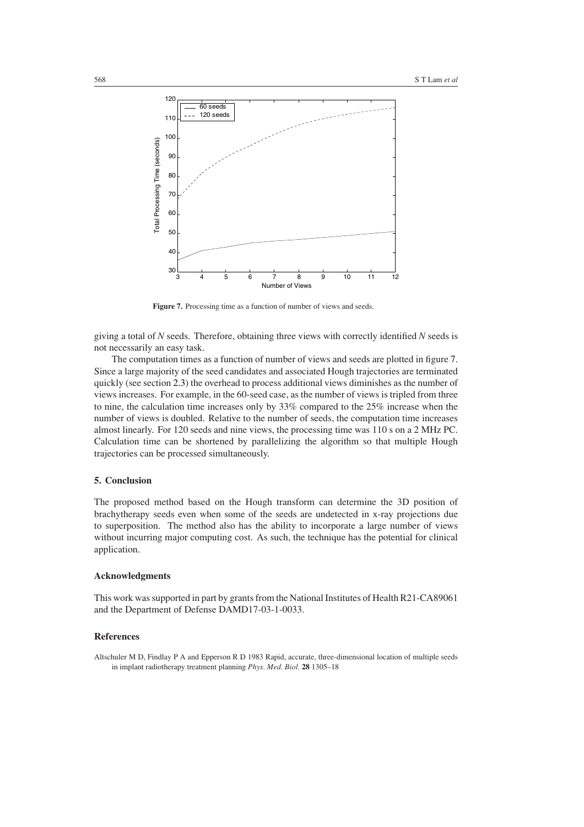

**Figure 7.** Processing time as a function of number of views and seeds.

<span id="page-11-1"></span>giving a total of *N* seeds. Therefore, obtaining three views with correctly identified *N* seeds is not necessarily an easy task.

The computation times as a function of number of views and seeds are plotted in figure [7.](#page-11-1) Since a large majority of the seed candidates and associated Hough trajectories are terminated quickly (see section [2.3\)](#page-3-2) the overhead to process additional views diminishes as the number of views increases. For example, in the 60-seed case, as the number of views is tripled from three to nine, the calculation time increases only by 33% compared to the 25% increase when the number of views is doubled. Relative to the number of seeds, the computation time increases almost linearly. For 120 seeds and nine views, the processing time was 110 s on a 2 MHz PC. Calculation time can be shortened by parallelizing the algorithm so that multiple Hough trajectories can be processed simultaneously.

# **5. Conclusion**

The proposed method based on the Hough transform can determine the 3D position of brachytherapy seeds even when some of the seeds are undetected in x-ray projections due to superposition. The method also has the ability to incorporate a large number of views without incurring major computing cost. As such, the technique has the potential for clinical application.

# **Acknowledgments**

This work was supported in part by grants from the National Institutes of Health R21-CA89061 and the Department of Defense DAMD17-03-1-0033.

#### **References**

<span id="page-11-0"></span>Altschuler M D, Findlay P A and Epperson R D 1983 Rapid, accurate, three-dimensional location of multiple seeds in implant radiotherapy treatment planning *Phys. Med. Biol.* **28** 1305–18